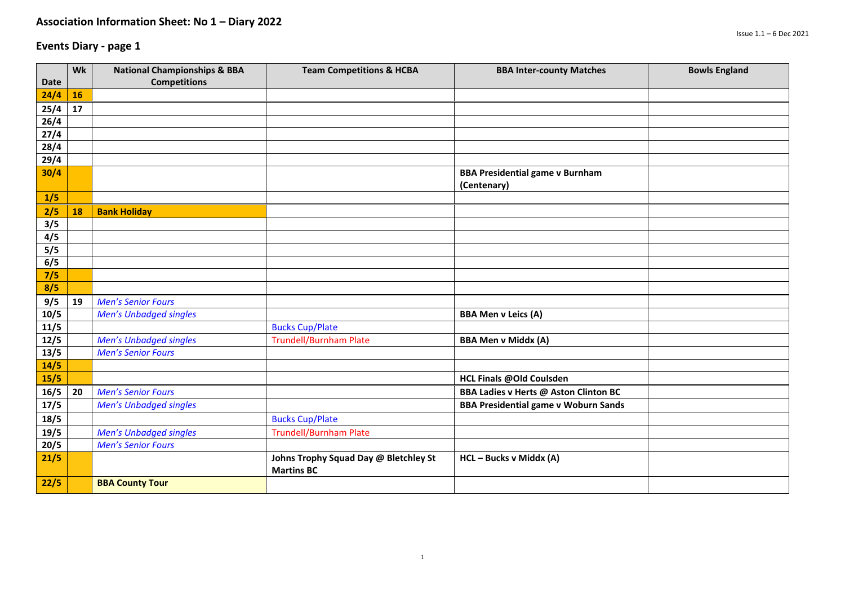|                | Wk | <b>National Championships &amp; BBA</b> | <b>Team Competitions &amp; HCBA</b>                        | <b>BBA Inter-county Matches</b>                       | <b>Bowls England</b> |
|----------------|----|-----------------------------------------|------------------------------------------------------------|-------------------------------------------------------|----------------------|
| <b>Date</b>    |    | <b>Competitions</b>                     |                                                            |                                                       |                      |
| 24/4           | 16 |                                         |                                                            |                                                       |                      |
| 25/4           | 17 |                                         |                                                            |                                                       |                      |
| 26/4           |    |                                         |                                                            |                                                       |                      |
| 27/4           |    |                                         |                                                            |                                                       |                      |
| 28/4           |    |                                         |                                                            |                                                       |                      |
| 29/4           |    |                                         |                                                            |                                                       |                      |
| 30/4           |    |                                         |                                                            | <b>BBA Presidential game v Burnham</b><br>(Centenary) |                      |
| 1/5            |    |                                         |                                                            |                                                       |                      |
| 2/5            | 18 | <b>Bank Holiday</b>                     |                                                            |                                                       |                      |
| 3/5            |    |                                         |                                                            |                                                       |                      |
| 4/5            |    |                                         |                                                            |                                                       |                      |
| 5/5            |    |                                         |                                                            |                                                       |                      |
| 6/5            |    |                                         |                                                            |                                                       |                      |
| 7/5            |    |                                         |                                                            |                                                       |                      |
| 8/5            |    |                                         |                                                            |                                                       |                      |
| 9/5            | 19 | <b>Men's Senior Fours</b>               |                                                            |                                                       |                      |
| 10/5           |    | <b>Men's Unbadged singles</b>           |                                                            | <b>BBA Men v Leics (A)</b>                            |                      |
| 11/5           |    |                                         | <b>Bucks Cup/Plate</b>                                     |                                                       |                      |
| $\frac{12}{5}$ |    | Men's Unbadged singles                  | <b>Trundell/Burnham Plate</b>                              | <b>BBA Men v Middx (A)</b>                            |                      |
| 13/5           |    | <b>Men's Senior Fours</b>               |                                                            |                                                       |                      |
| 14/5           |    |                                         |                                                            |                                                       |                      |
| 15/5           |    |                                         |                                                            | HCL Finals @Old Coulsden                              |                      |
| 16/5           | 20 | <b>Men's Senior Fours</b>               |                                                            | <b>BBA Ladies v Herts @ Aston Clinton BC</b>          |                      |
| 17/5           |    | <b>Men's Unbadged singles</b>           |                                                            | <b>BBA Presidential game v Woburn Sands</b>           |                      |
| 18/5           |    |                                         | <b>Bucks Cup/Plate</b>                                     |                                                       |                      |
| 19/5           |    | <b>Men's Unbadged singles</b>           | <b>Trundell/Burnham Plate</b>                              |                                                       |                      |
| 20/5           |    | <b>Men's Senior Fours</b>               |                                                            |                                                       |                      |
| 21/5           |    |                                         | Johns Trophy Squad Day @ Bletchley St<br><b>Martins BC</b> | HCL - Bucks v Middx (A)                               |                      |
| 22/5           |    | <b>BBA County Tour</b>                  |                                                            |                                                       |                      |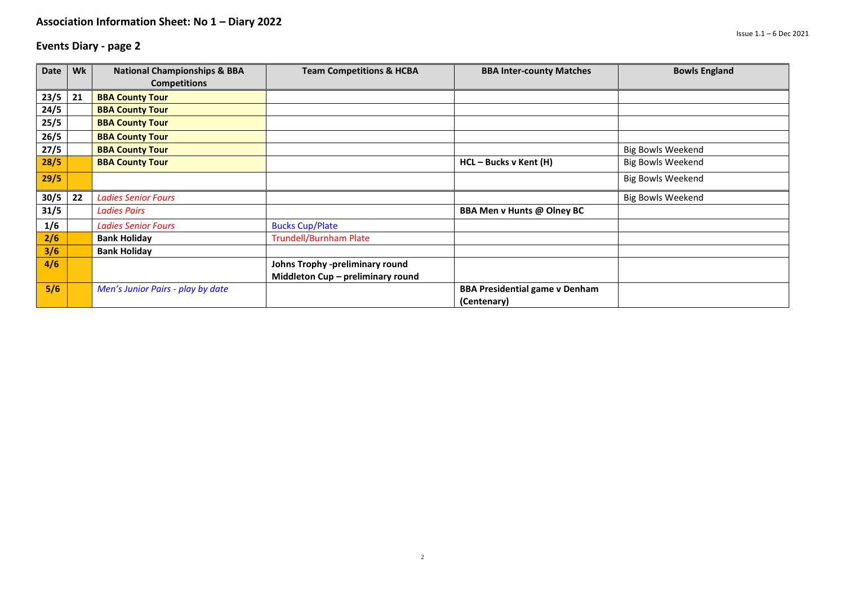| Date | Wk | <b>National Championships &amp; BBA</b> | <b>Team Competitions &amp; HCBA</b> | <b>BBA Inter-county Matches</b>       | <b>Bowls England</b>     |
|------|----|-----------------------------------------|-------------------------------------|---------------------------------------|--------------------------|
|      |    | <b>Competitions</b>                     |                                     |                                       |                          |
| 23/5 | 21 | <b>BBA County Tour</b>                  |                                     |                                       |                          |
| 24/5 |    | <b>BBA County Tour</b>                  |                                     |                                       |                          |
| 25/5 |    | <b>BBA County Tour</b>                  |                                     |                                       |                          |
| 26/5 |    | <b>BBA County Tour</b>                  |                                     |                                       |                          |
| 27/5 |    | <b>BBA County Tour</b>                  |                                     |                                       | <b>Big Bowls Weekend</b> |
| 28/5 |    | <b>BBA County Tour</b>                  |                                     | HCL - Bucks v Kent (H)                | <b>Big Bowls Weekend</b> |
| 29/5 |    |                                         |                                     |                                       | <b>Big Bowls Weekend</b> |
| 30/5 | 22 | <b>Ladies Senior Fours</b>              |                                     |                                       | <b>Big Bowls Weekend</b> |
| 31/5 |    | <b>Ladies Pairs</b>                     |                                     | <b>BBA Men v Hunts @ Olney BC</b>     |                          |
| 1/6  |    | <b>Ladies Senior Fours</b>              | <b>Bucks Cup/Plate</b>              |                                       |                          |
| 2/6  |    | <b>Bank Holiday</b>                     | <b>Trundell/Burnham Plate</b>       |                                       |                          |
| 3/6  |    | <b>Bank Holiday</b>                     |                                     |                                       |                          |
| 4/6  |    |                                         | Johns Trophy -preliminary round     |                                       |                          |
|      |    |                                         | Middleton Cup - preliminary round   |                                       |                          |
| 5/6  |    | Men's Junior Pairs - play by date       |                                     | <b>BBA Presidential game v Denham</b> |                          |
|      |    |                                         |                                     | (Centenary)                           |                          |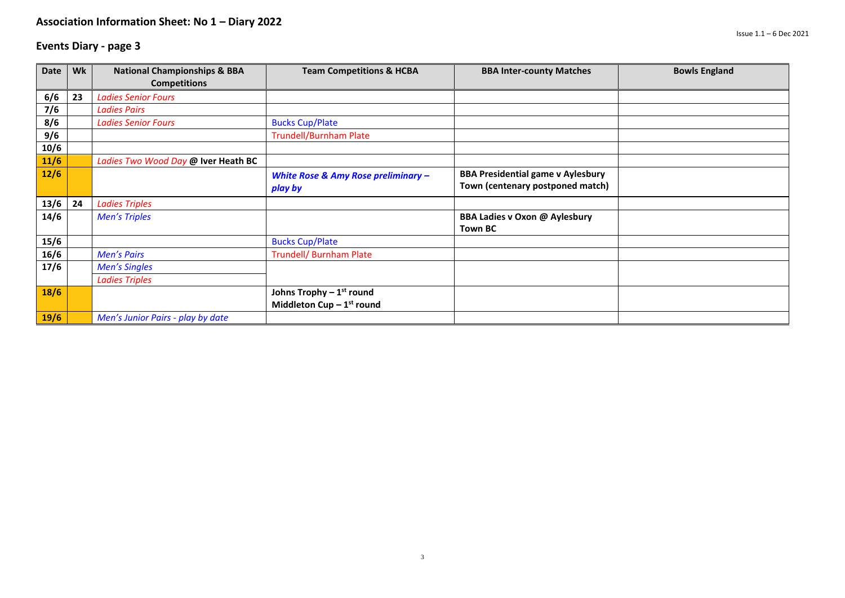| Date   | Wk | <b>National Championships &amp; BBA</b> | <b>Team Competitions &amp; HCBA</b>            | <b>BBA Inter-county Matches</b>          | <b>Bowls England</b> |
|--------|----|-----------------------------------------|------------------------------------------------|------------------------------------------|----------------------|
|        |    | <b>Competitions</b>                     |                                                |                                          |                      |
| 6/6    | 23 | <b>Ladies Senior Fours</b>              |                                                |                                          |                      |
| 7/6    |    | <b>Ladies Pairs</b>                     |                                                |                                          |                      |
| 8/6    |    | <b>Ladies Senior Fours</b>              | <b>Bucks Cup/Plate</b>                         |                                          |                      |
| 9/6    |    |                                         | <b>Trundell/Burnham Plate</b>                  |                                          |                      |
| 10/6   |    |                                         |                                                |                                          |                      |
| $11/6$ |    | Ladies Two Wood Day @ Iver Heath BC     |                                                |                                          |                      |
| $12/6$ |    |                                         | <b>White Rose &amp; Amy Rose preliminary -</b> | <b>BBA Presidential game v Aylesbury</b> |                      |
|        |    |                                         | play by                                        | Town (centenary postponed match)         |                      |
| 13/6   | 24 | <b>Ladies Triples</b>                   |                                                |                                          |                      |
| 14/6   |    | <b>Men's Triples</b>                    |                                                | <b>BBA Ladies v Oxon @ Aylesbury</b>     |                      |
|        |    |                                         |                                                | <b>Town BC</b>                           |                      |
| 15/6   |    |                                         | <b>Bucks Cup/Plate</b>                         |                                          |                      |
| 16/6   |    | <b>Men's Pairs</b>                      | <b>Trundell/ Burnham Plate</b>                 |                                          |                      |
| 17/6   |    | <b>Men's Singles</b>                    |                                                |                                          |                      |
|        |    | <b>Ladies Triples</b>                   |                                                |                                          |                      |
| 18/6   |    |                                         | Johns Trophy $-1st$ round                      |                                          |                      |
|        |    |                                         | Middleton Cup $-1st$ round                     |                                          |                      |
| 19/6   |    | Men's Junior Pairs - play by date       |                                                |                                          |                      |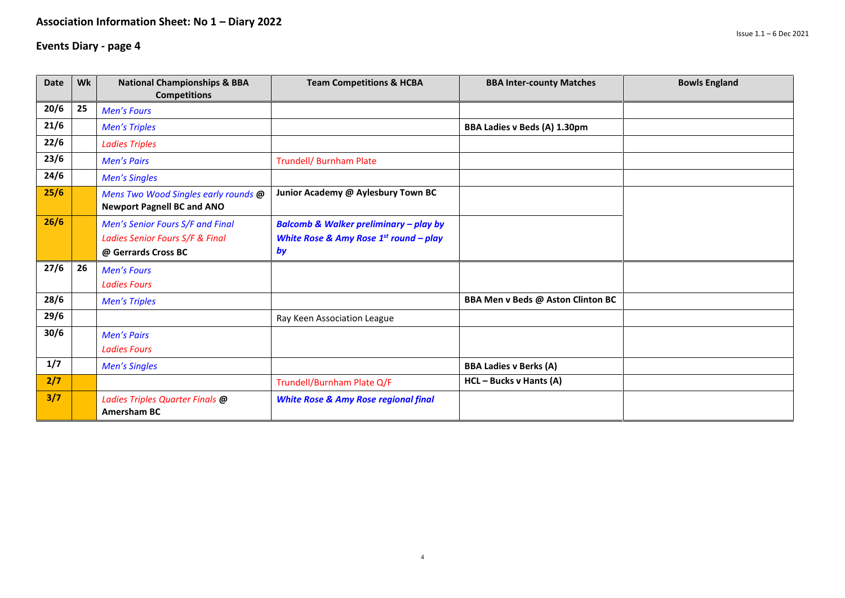| <b>Date</b> | Wk | <b>National Championships &amp; BBA</b><br><b>Competitions</b>                             | <b>Team Competitions &amp; HCBA</b>                                                                    | <b>BBA Inter-county Matches</b>     | <b>Bowls England</b> |
|-------------|----|--------------------------------------------------------------------------------------------|--------------------------------------------------------------------------------------------------------|-------------------------------------|----------------------|
| 20/6        | 25 | <b>Men's Fours</b>                                                                         |                                                                                                        |                                     |                      |
| 21/6        |    | <b>Men's Triples</b>                                                                       |                                                                                                        | <b>BBA Ladies v Beds (A) 1.30pm</b> |                      |
| 22/6        |    | <b>Ladies Triples</b>                                                                      |                                                                                                        |                                     |                      |
| 23/6        |    | <b>Men's Pairs</b>                                                                         | <b>Trundell/ Burnham Plate</b>                                                                         |                                     |                      |
| 24/6        |    | <b>Men's Singles</b>                                                                       |                                                                                                        |                                     |                      |
| 25/6        |    | Mens Two Wood Singles early rounds @<br><b>Newport Pagnell BC and ANO</b>                  | Junior Academy @ Aylesbury Town BC                                                                     |                                     |                      |
| 26/6        |    | Men's Senior Fours S/F and Final<br>Ladies Senior Fours S/F & Final<br>@ Gerrards Cross BC | <b>Balcomb &amp; Walker preliminary - play by</b><br>White Rose & Amy Rose $1^{st}$ round – play<br>by |                                     |                      |
| 27/6        | 26 | <b>Men's Fours</b><br><b>Ladies Fours</b>                                                  |                                                                                                        |                                     |                      |
| 28/6        |    | <b>Men's Triples</b>                                                                       |                                                                                                        | BBA Men v Beds @ Aston Clinton BC   |                      |
| 29/6        |    |                                                                                            | Ray Keen Association League                                                                            |                                     |                      |
| 30/6        |    | <b>Men's Pairs</b><br><b>Ladies Fours</b>                                                  |                                                                                                        |                                     |                      |
| 1/7         |    | <b>Men's Singles</b>                                                                       |                                                                                                        | <b>BBA Ladies v Berks (A)</b>       |                      |
| 2/7         |    |                                                                                            | Trundell/Burnham Plate Q/F                                                                             | HCL - Bucks v Hants (A)             |                      |
| 3/7         |    | Ladies Triples Quarter Finals @<br><b>Amersham BC</b>                                      | <b>White Rose &amp; Amy Rose regional final</b>                                                        |                                     |                      |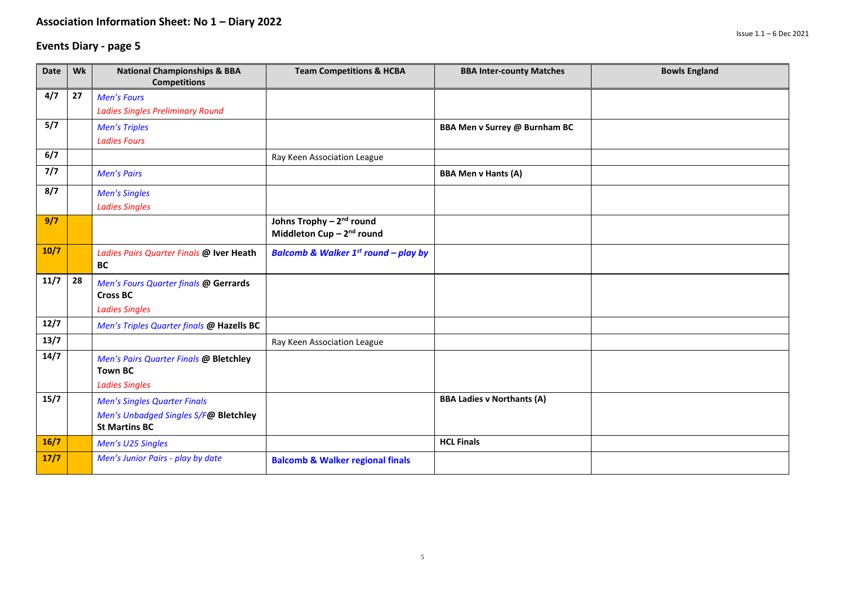| Date   | Wk | <b>National Championships &amp; BBA</b><br><b>Competitions</b> | <b>Team Competitions &amp; HCBA</b>                                           | <b>BBA Inter-county Matches</b>      | <b>Bowls England</b> |
|--------|----|----------------------------------------------------------------|-------------------------------------------------------------------------------|--------------------------------------|----------------------|
| 4/7    | 27 | <b>Men's Fours</b>                                             |                                                                               |                                      |                      |
|        |    | <b>Ladies Singles Preliminary Round</b>                        |                                                                               |                                      |                      |
| 5/7    |    | <b>Men's Triples</b>                                           |                                                                               | <b>BBA Men v Surrey @ Burnham BC</b> |                      |
|        |    | <b>Ladies Fours</b>                                            |                                                                               |                                      |                      |
| 6/7    |    |                                                                | Ray Keen Association League                                                   |                                      |                      |
| 7/7    |    | <b>Men's Pairs</b>                                             |                                                                               | <b>BBA Men v Hants (A)</b>           |                      |
| 8/7    |    | <b>Men's Singles</b>                                           |                                                                               |                                      |                      |
|        |    | <b>Ladies Singles</b>                                          |                                                                               |                                      |                      |
| 9/7    |    |                                                                | Johns Trophy - 2 <sup>nd</sup> round<br>Middleton Cup - 2 <sup>nd</sup> round |                                      |                      |
| $10/7$ |    | Ladies Pairs Quarter Finals @ Iver Heath<br><b>BC</b>          | <b>Balcomb &amp; Walker 1st round - play by</b>                               |                                      |                      |
| 11/7   | 28 | Men's Fours Quarter finals @ Gerrards                          |                                                                               |                                      |                      |
|        |    | <b>Cross BC</b>                                                |                                                                               |                                      |                      |
|        |    | <b>Ladies Singles</b>                                          |                                                                               |                                      |                      |
| 12/7   |    | Men's Triples Quarter finals @ Hazells BC                      |                                                                               |                                      |                      |
| 13/7   |    |                                                                | Ray Keen Association League                                                   |                                      |                      |
| 14/7   |    | Men's Pairs Quarter Finals @ Bletchley                         |                                                                               |                                      |                      |
|        |    | <b>Town BC</b>                                                 |                                                                               |                                      |                      |
|        |    | <b>Ladies Singles</b>                                          |                                                                               |                                      |                      |
| 15/7   |    | <b>Men's Singles Quarter Finals</b>                            |                                                                               | <b>BBA Ladies v Northants (A)</b>    |                      |
|        |    | Men's Unbadged Singles S/F@ Bletchley<br><b>St Martins BC</b>  |                                                                               |                                      |                      |
| 16/7   |    |                                                                |                                                                               | <b>HCL Finals</b>                    |                      |
| $17/7$ |    | Men's U25 Singles                                              |                                                                               |                                      |                      |
|        |    | Men's Junior Pairs - play by date                              | <b>Balcomb &amp; Walker regional finals</b>                                   |                                      |                      |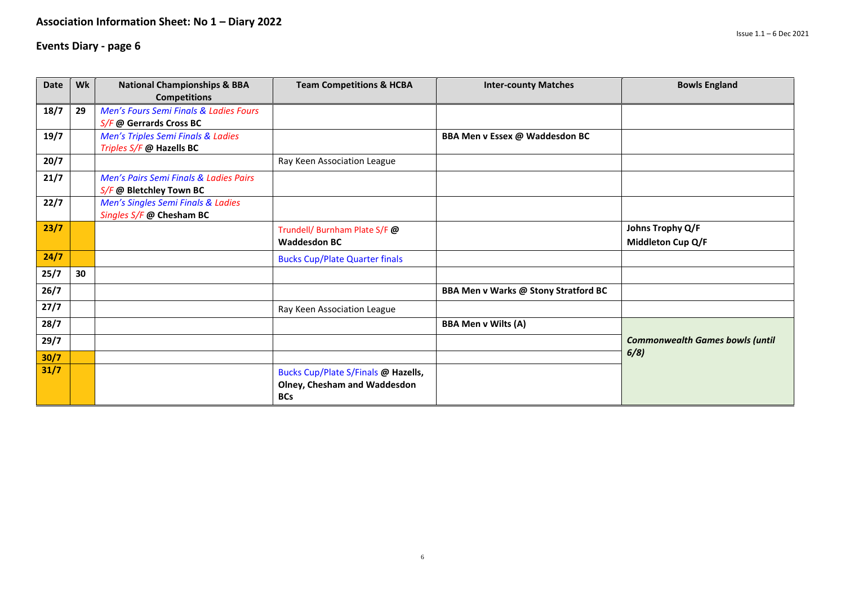| <b>Date</b> | Wk | <b>National Championships &amp; BBA</b> | <b>Team Competitions &amp; HCBA</b>                                               | <b>Inter-county Matches</b>          | <b>Bowls England</b>                   |
|-------------|----|-----------------------------------------|-----------------------------------------------------------------------------------|--------------------------------------|----------------------------------------|
|             |    | <b>Competitions</b>                     |                                                                                   |                                      |                                        |
| 18/7        | 29 | Men's Fours Semi Finals & Ladies Fours  |                                                                                   |                                      |                                        |
|             |    | S/F @ Gerrards Cross BC                 |                                                                                   |                                      |                                        |
| 19/7        |    | Men's Triples Semi Finals & Ladies      |                                                                                   | BBA Men v Essex @ Waddesdon BC       |                                        |
|             |    | Triples S/F @ Hazells BC                |                                                                                   |                                      |                                        |
| 20/7        |    |                                         | Ray Keen Association League                                                       |                                      |                                        |
| 21/7        |    | Men's Pairs Semi Finals & Ladies Pairs  |                                                                                   |                                      |                                        |
|             |    | S/F @ Bletchley Town BC                 |                                                                                   |                                      |                                        |
| 22/7        |    | Men's Singles Semi Finals & Ladies      |                                                                                   |                                      |                                        |
|             |    | Singles S/F @ Chesham BC                |                                                                                   |                                      |                                        |
| 23/7        |    |                                         | Trundell/ Burnham Plate S/F @                                                     |                                      | Johns Trophy Q/F                       |
|             |    |                                         | <b>Waddesdon BC</b>                                                               |                                      | Middleton Cup Q/F                      |
| 24/7        |    |                                         | <b>Bucks Cup/Plate Quarter finals</b>                                             |                                      |                                        |
| 25/7        | 30 |                                         |                                                                                   |                                      |                                        |
| 26/7        |    |                                         |                                                                                   | BBA Men v Warks @ Stony Stratford BC |                                        |
| 27/7        |    |                                         | Ray Keen Association League                                                       |                                      |                                        |
| 28/7        |    |                                         |                                                                                   | <b>BBA Men v Wilts (A)</b>           |                                        |
| 29/7        |    |                                         |                                                                                   |                                      | <b>Commonwealth Games bowls (until</b> |
| 30/7        |    |                                         |                                                                                   |                                      | 6/8)                                   |
| 31/7        |    |                                         | Bucks Cup/Plate S/Finals @ Hazells,<br>Olney, Chesham and Waddesdon<br><b>BCs</b> |                                      |                                        |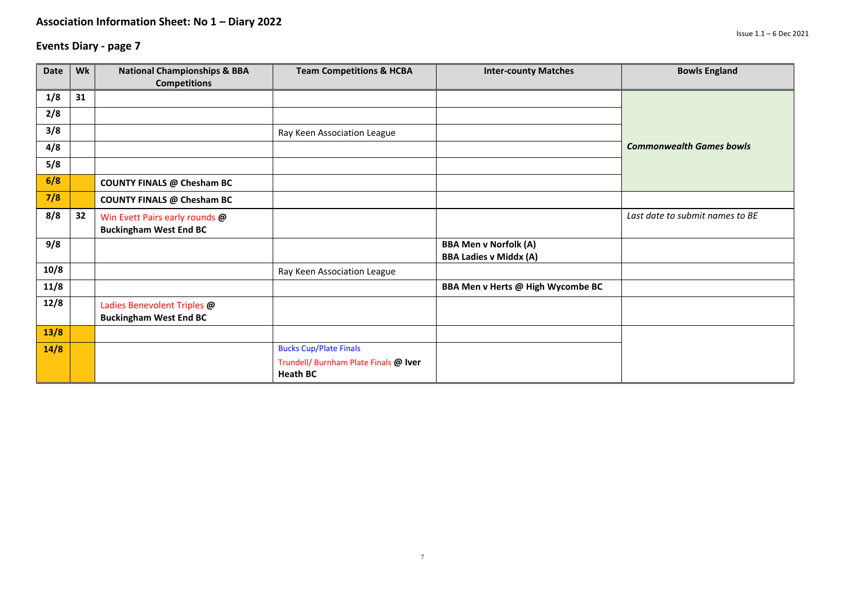| <b>Date</b> | Wk | <b>National Championships &amp; BBA</b><br><b>Competitions</b>  | <b>Team Competitions &amp; HCBA</b>                      | <b>Inter-county Matches</b>                                   | <b>Bowls England</b>            |
|-------------|----|-----------------------------------------------------------------|----------------------------------------------------------|---------------------------------------------------------------|---------------------------------|
| 1/8         | 31 |                                                                 |                                                          |                                                               |                                 |
| 2/8         |    |                                                                 |                                                          |                                                               |                                 |
| 3/8         |    |                                                                 | Ray Keen Association League                              |                                                               |                                 |
| 4/8         |    |                                                                 |                                                          |                                                               | <b>Commonwealth Games bowls</b> |
| 5/8         |    |                                                                 |                                                          |                                                               |                                 |
| 6/8         |    | <b>COUNTY FINALS @ Chesham BC</b>                               |                                                          |                                                               |                                 |
| 7/8         |    | <b>COUNTY FINALS @ Chesham BC</b>                               |                                                          |                                                               |                                 |
| 8/8         | 32 | Win Evett Pairs early rounds @<br><b>Buckingham West End BC</b> |                                                          |                                                               | Last date to submit names to BE |
| 9/8         |    |                                                                 |                                                          | <b>BBA Men v Norfolk (A)</b><br><b>BBA Ladies v Middx (A)</b> |                                 |
| 10/8        |    |                                                                 | Ray Keen Association League                              |                                                               |                                 |
| 11/8        |    |                                                                 |                                                          | BBA Men v Herts @ High Wycombe BC                             |                                 |
| 12/8        |    | Ladies Benevolent Triples @<br><b>Buckingham West End BC</b>    |                                                          |                                                               |                                 |
| 13/8        |    |                                                                 |                                                          |                                                               |                                 |
| 14/8        |    |                                                                 | <b>Bucks Cup/Plate Finals</b>                            |                                                               |                                 |
|             |    |                                                                 | Trundell/ Burnham Plate Finals @ Iver<br><b>Heath BC</b> |                                                               |                                 |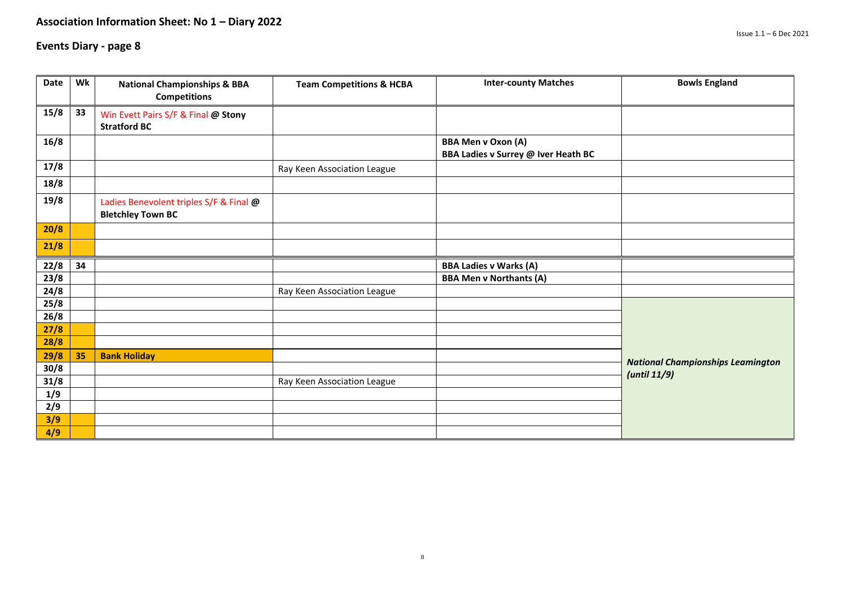| Date         | Wk | <b>National Championships &amp; BBA</b><br><b>Competitions</b>      | <b>Team Competitions &amp; HCBA</b> | <b>Inter-county Matches</b>                                      | <b>Bowls England</b>                     |
|--------------|----|---------------------------------------------------------------------|-------------------------------------|------------------------------------------------------------------|------------------------------------------|
| 15/8         | 33 | Win Evett Pairs S/F & Final @ Stony<br><b>Stratford BC</b>          |                                     |                                                                  |                                          |
| 16/8         |    |                                                                     |                                     | <b>BBA Men v Oxon (A)</b><br>BBA Ladies v Surrey @ Iver Heath BC |                                          |
| 17/8         |    |                                                                     | Ray Keen Association League         |                                                                  |                                          |
| 18/8         |    |                                                                     |                                     |                                                                  |                                          |
| 19/8         |    | Ladies Benevolent triples S/F & Final @<br><b>Bletchley Town BC</b> |                                     |                                                                  |                                          |
| 20/8         |    |                                                                     |                                     |                                                                  |                                          |
| 21/8         |    |                                                                     |                                     |                                                                  |                                          |
| 22/8         | 34 |                                                                     |                                     | <b>BBA Ladies v Warks (A)</b>                                    |                                          |
| 23/8         |    |                                                                     |                                     | <b>BBA Men v Northants (A)</b>                                   |                                          |
| 24/8         |    |                                                                     | Ray Keen Association League         |                                                                  |                                          |
| 25/8         |    |                                                                     |                                     |                                                                  |                                          |
| 26/8         |    |                                                                     |                                     |                                                                  |                                          |
| 27/8         |    |                                                                     |                                     |                                                                  |                                          |
| 28/8<br>29/8 | 35 | <b>Bank Holiday</b>                                                 |                                     |                                                                  |                                          |
| 30/8         |    |                                                                     |                                     |                                                                  | <b>National Championships Leamington</b> |
| 31/8         |    |                                                                     | Ray Keen Association League         |                                                                  | (until 11/9)                             |
| 1/9          |    |                                                                     |                                     |                                                                  |                                          |
| 2/9          |    |                                                                     |                                     |                                                                  |                                          |
| 3/9          |    |                                                                     |                                     |                                                                  |                                          |
| 4/9          |    |                                                                     |                                     |                                                                  |                                          |